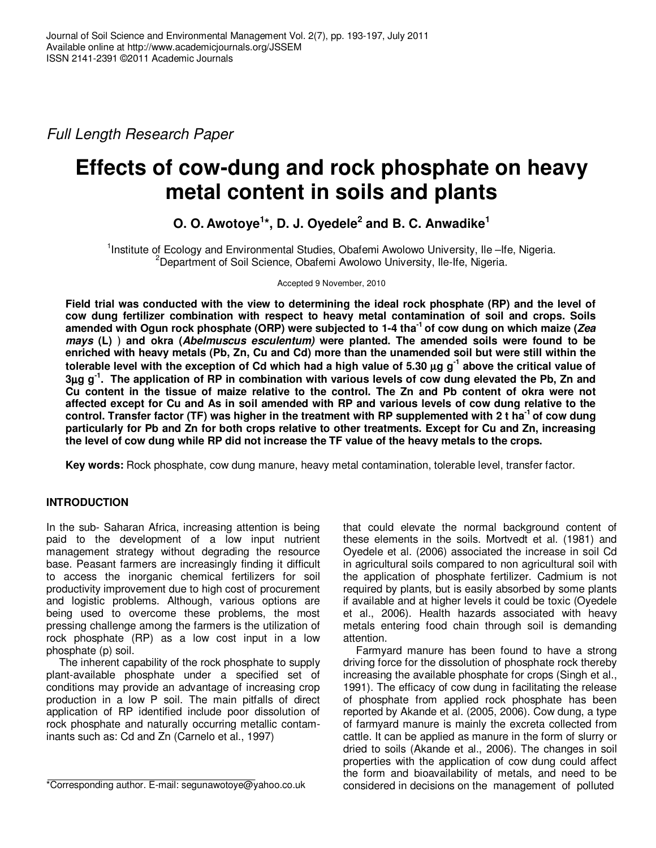Full Length Research Paper

# **Effects of cow-dung and rock phosphate on heavy metal content in soils and plants**

## **O. O. Awotoye<sup>1</sup> \*, D. J. Oyedele<sup>2</sup> and B. C. Anwadike<sup>1</sup>**

<sup>1</sup>Institute of Ecology and Environmental Studies, Obafemi Awolowo University, Ile-Ife, Nigeria.  $2^2$ Department of Soil Science, Obafemi Awolowo University, Ile-Ife, Nigeria.

Accepted 9 November, 2010

**Field trial was conducted with the view to determining the ideal rock phosphate (RP) and the level of cow dung fertilizer combination with respect to heavy metal contamination of soil and crops. Soils amended with Ogun rock phosphate (ORP) were subjected to 1-4 tha-1 of cow dung on which maize (Zea**  *mays* (L)) and okra (Abelmuscus esculentum) were planted. The amended soils were found to be **enriched with heavy metals (Pb, Zn, Cu and Cd) more than the unamended soil but were still within the tolerable level with the exception of Cd which had a high value of 5.30** µ**g g-1 above the critical value of 3**µ**g g-1. The application of RP in combination with various levels of cow dung elevated the Pb, Zn and Cu content in the tissue of maize relative to the control. The Zn and Pb content of okra were not affected except for Cu and As in soil amended with RP and various levels of cow dung relative to the control. Transfer factor (TF) was higher in the treatment with RP supplemented with 2 t ha-1 of cow dung particularly for Pb and Zn for both crops relative to other treatments. Except for Cu and Zn, increasing the level of cow dung while RP did not increase the TF value of the heavy metals to the crops.** 

**Key words:** Rock phosphate, cow dung manure, heavy metal contamination, tolerable level, transfer factor.

### **INTRODUCTION**

In the sub- Saharan Africa, increasing attention is being paid to the development of a low input nutrient management strategy without degrading the resource base. Peasant farmers are increasingly finding it difficult to access the inorganic chemical fertilizers for soil productivity improvement due to high cost of procurement and logistic problems. Although, various options are being used to overcome these problems, the most pressing challenge among the farmers is the utilization of rock phosphate (RP) as a low cost input in a low phosphate (p) soil.

 The inherent capability of the rock phosphate to supply plant-available phosphate under a specified set of conditions may provide an advantage of increasing crop production in a low P soil. The main pitfalls of direct application of RP identified include poor dissolution of rock phosphate and naturally occurring metallic contaminants such as: Cd and Zn (Carnelo et al., 1997)

that could elevate the normal background content of these elements in the soils. Mortvedt et al. (1981) and Oyedele et al. (2006) associated the increase in soil Cd in agricultural soils compared to non agricultural soil with the application of phosphate fertilizer. Cadmium is not required by plants, but is easily absorbed by some plants if available and at higher levels it could be toxic (Oyedele et al., 2006). Health hazards associated with heavy metals entering food chain through soil is demanding attention.

 Farmyard manure has been found to have a strong driving force for the dissolution of phosphate rock thereby increasing the available phosphate for crops (Singh et al., 1991). The efficacy of cow dung in facilitating the release of phosphate from applied rock phosphate has been reported by Akande et al. (2005, 2006). Cow dung, a type of farmyard manure is mainly the excreta collected from cattle. It can be applied as manure in the form of slurry or dried to soils (Akande et al., 2006). The changes in soil properties with the application of cow dung could affect the form and bioavailability of metals, and need to be considered in decisions on the management of polluted

<sup>\*</sup>Corresponding author. E-mail: segunawotoye@yahoo.co.uk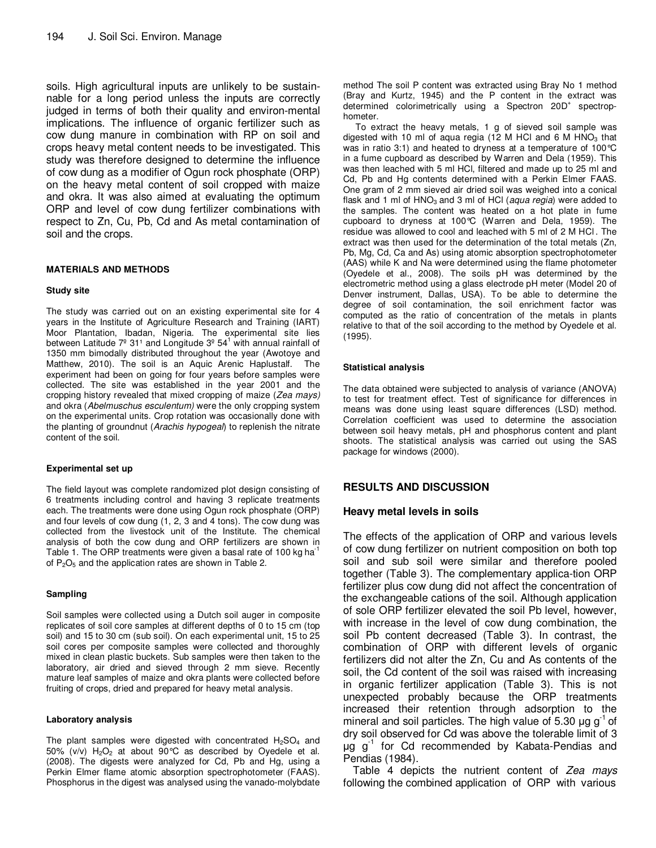soils. High agricultural inputs are unlikely to be sustainnable for a long period unless the inputs are correctly judged in terms of both their quality and environ-mental implications. The influence of organic fertilizer such as cow dung manure in combination with RP on soil and crops heavy metal content needs to be investigated. This study was therefore designed to determine the influence of cow dung as a modifier of Ogun rock phosphate (ORP) on the heavy metal content of soil cropped with maize and okra. It was also aimed at evaluating the optimum ORP and level of cow dung fertilizer combinations with respect to Zn, Cu, Pb, Cd and As metal contamination of soil and the crops.

#### **MATERIALS AND METHODS**

#### **Study site**

The study was carried out on an existing experimental site for 4 years in the Institute of Agriculture Research and Training (IART) Moor Plantation, Ibadan, Nigeria. The experimental site lies between Latitude  $7^{\circ}$  31<sup>1</sup> and Longitude  $3^{\circ}$  54<sup>1</sup> with annual rainfall of 1350 mm bimodally distributed throughout the year (Awotoye and Matthew, 2010). The soil is an Aquic Arenic Haplustalf. The experiment had been on going for four years before samples were collected. The site was established in the year 2001 and the cropping history revealed that mixed cropping of maize (Zea mays) and okra (Abelmuschus esculentum) were the only cropping system on the experimental units. Crop rotation was occasionally done with the planting of groundnut (Arachis hypogeal) to replenish the nitrate content of the soil.

#### **Experimental set up**

The field layout was complete randomized plot design consisting of 6 treatments including control and having 3 replicate treatments each. The treatments were done using Ogun rock phosphate (ORP) and four levels of cow dung (1, 2, 3 and 4 tons). The cow dung was collected from the livestock unit of the Institute. The chemical analysis of both the cow dung and ORP fertilizers are shown in Table 1. The ORP treatments were given a basal rate of 100 kg ha<sup>-1</sup> of  $P_2O_5$  and the application rates are shown in Table 2.

#### **Sampling**

Soil samples were collected using a Dutch soil auger in composite replicates of soil core samples at different depths of 0 to 15 cm (top soil) and 15 to 30 cm (sub soil). On each experimental unit, 15 to 25 soil cores per composite samples were collected and thoroughly mixed in clean plastic buckets. Sub samples were then taken to the laboratory, air dried and sieved through 2 mm sieve. Recently mature leaf samples of maize and okra plants were collected before fruiting of crops, dried and prepared for heavy metal analysis.

#### **Laboratory analysis**

The plant samples were digested with concentrated  $H_2SO_4$  and 50% (v/v)  $H_2O_2$  at about 90°C as described by Oyedele et al. (2008). The digests were analyzed for Cd, Pb and Hg, using a Perkin Elmer flame atomic absorption spectrophotometer (FAAS). Phosphorus in the digest was analysed using the vanado-molybdate method The soil P content was extracted using Bray No 1 method (Bray and Kurtz, 1945) and the P content in the extract was determined colorimetrically using a Spectron 20D<sup>+</sup> spectrophometer.

 To extract the heavy metals, 1 g of sieved soil sample was digested with 10 ml of aqua regia (12 M HCl and 6 M HNO<sub>3</sub> that was in ratio 3:1) and heated to dryness at a temperature of 100°C in a fume cupboard as described by Warren and Dela (1959). This was then leached with 5 ml HCl, filtered and made up to 25 ml and Cd, Pb and Hg contents determined with a Perkin Elmer FAAS. One gram of 2 mm sieved air dried soil was weighed into a conical flask and 1 ml of HNO<sub>3</sub> and 3 ml of HCl (aqua regia) were added to the samples. The content was heated on a hot plate in fume cupboard to dryness at 100°C (Warren and Dela, 1959). The residue was allowed to cool and leached with 5 ml of 2 M HCl . The extract was then used for the determination of the total metals (Zn, Pb, Mg, Cd, Ca and As) using atomic absorption spectrophotometer (AAS) while K and Na were determined using the flame photometer (Oyedele et al., 2008). The soils pH was determined by the electrometric method using a glass electrode pH meter (Model 20 of Denver instrument, Dallas, USA). To be able to determine the degree of soil contamination, the soil enrichment factor was computed as the ratio of concentration of the metals in plants relative to that of the soil according to the method by Oyedele et al. (1995).

#### **Statistical analysis**

The data obtained were subjected to analysis of variance (ANOVA) to test for treatment effect. Test of significance for differences in means was done using least square differences (LSD) method. Correlation coefficient was used to determine the association between soil heavy metals, pH and phosphorus content and plant shoots. The statistical analysis was carried out using the SAS package for windows (2000).

#### **RESULTS AND DISCUSSION**

#### **Heavy metal levels in soils**

The effects of the application of ORP and various levels of cow dung fertilizer on nutrient composition on both top soil and sub soil were similar and therefore pooled together (Table 3). The complementary applica-tion ORP fertilizer plus cow dung did not affect the concentration of the exchangeable cations of the soil. Although application of sole ORP fertilizer elevated the soil Pb level, however, with increase in the level of cow dung combination, the soil Pb content decreased (Table 3). In contrast, the combination of ORP with different levels of organic fertilizers did not alter the Zn, Cu and As contents of the soil, the Cd content of the soil was raised with increasing in organic fertilizer application (Table 3). This is not unexpected probably because the ORP treatments increased their retention through adsorption to the mineral and soil particles. The high value of 5.30  $\mu$ g g<sup>-1</sup> of dry soil observed for Cd was above the tolerable limit of 3  $\mu$ g g<sup>-1</sup> for Cd recommended by Kabata-Pendias and Pendias (1984).

Table 4 depicts the nutrient content of Zea mays following the combined application of ORP with various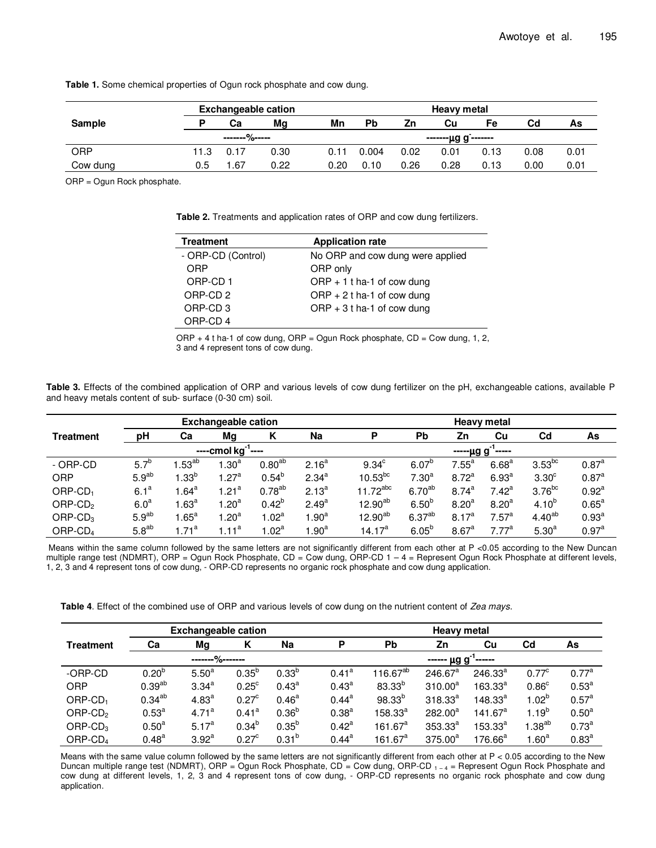|          | <b>Exchangeable cation</b> | <b>Heavy metal</b> |      |      |           |      |                                          |      |      |      |
|----------|----------------------------|--------------------|------|------|-----------|------|------------------------------------------|------|------|------|
| Sample   |                            | Сa                 | Mg   | Mn   | <b>Pb</b> | Ζn   | Сu                                       | Fe   | Cd   | As   |
|          |                            | -------%-----      |      |      |           |      | - <u>------μg</u> g <sup>-</sup> ------- |      |      |      |
| ORP      | 11.3                       | 0.17               | 0.30 | 0.11 | 0.004     | 0.02 | 0.01                                     | 0.13 | 0.08 | 0.01 |
| Cow dung | 0.5                        | .67                | 0.22 | 0.20 | 0.10      | 0.26 | 0.28                                     | 0.13 | 0.00 | 0.01 |

**Table 1.** Some chemical properties of Ogun rock phosphate and cow dung.

ORP = Ogun Rock phosphate.

**Table 2.** Treatments and application rates of ORP and cow dung fertilizers.

| <b>Treatment</b>    | <b>Application rate</b>          |
|---------------------|----------------------------------|
| - ORP-CD (Control)  | No ORP and cow dung were applied |
| ORP                 | ORP only                         |
| ORP-CD 1            | ORP $+1$ t ha-1 of cow dung      |
| ORP-CD <sub>2</sub> | ORP + 2 t ha-1 of cow dung       |
| ORP-CD <sub>3</sub> | ORP $+3t$ ha-1 of cow dung       |
| ORP-CD 4            |                                  |
|                     |                                  |

 $ORP + 4$  t ha-1 of cow dung,  $ORP = Ogun Rock phosphate, CD = Cow dung, 1, 2,$ 3 and 4 represent tons of cow dung.

**Table 3.** Effects of the combined application of ORP and various levels of cow dung fertilizer on the pH, exchangeable cations, available P and heavy metals content of sub- surface (0-30 cm) soil.

| <b>Exchangeable cation</b> |                   |                  |                         |                 | <b>Heavy metal</b> |                    |                    |                   |                   |                   |                   |
|----------------------------|-------------------|------------------|-------------------------|-----------------|--------------------|--------------------|--------------------|-------------------|-------------------|-------------------|-------------------|
| <b>Treatment</b>           | pH                | Ca               | Mg                      | К               | <b>Na</b>          | D                  | <b>Pb</b>          | Zn                | Cu                | C <sub>d</sub>    | As                |
|                            |                   |                  | ----cmol $kg^{-1}$ ---- |                 |                    |                    |                    | -----µg g         | -----             |                   |                   |
| - ORP-CD                   | $5.7^{b}$         | $.53^{ab}$       | 1.30 <sup>a</sup>       | $0.80^{ab}$     | 2.16 <sup>a</sup>  | 9.34 <sup>c</sup>  | $6.07^{b}$         | $7.55^a$          | 6.68 <sup>a</sup> | $3.53^{bc}$       | 0.87 <sup>a</sup> |
| ORP                        | 5.9 <sup>ab</sup> | $.33^{\circ}$    | 1.27 <sup>a</sup>       | $0.54^{b}$      | $2.34^{a}$         | $10.53^{bc}$       | 7.30 <sup>a</sup>  | $8.72^{a}$        | 6.93 <sup>a</sup> | 3.30 <sup>c</sup> | 0.87 <sup>a</sup> |
| $ORP$ -CD <sub>1</sub>     | 6.1 <sup>a</sup>  | $1.64^\text{a}$  | 1.21 <sup>a</sup>       | $0.78^{ab}$     | $2.13^{a}$         | $11.72^{abc}$      | $6.70^{ab}$        | $8.74^{a}$        | $7.42^a$          | $3.76^{bc}$       | $0.92^{a}$        |
| $ORP$ -CD <sub>2</sub>     | 6.0 <sup>a</sup>  | 1.63 $^{\rm a}$  | 1.20 <sup>a</sup>       | $0.42^{b}$      | $2.49^{a}$         | $12.90^{ab}$       | $6.50^{b}$         | 8.20 <sup>a</sup> | 8.20 <sup>a</sup> | $4.10^{b}$        | $0.65^{\text{a}}$ |
| $ORP$ -CD <sub>3</sub>     | 5.9 <sup>ab</sup> | .65 <sup>a</sup> | 1.20 <sup>a</sup>       | $1.02^a$        | 1.90 <sup>a</sup>  | $12.90^{ab}$       | 6.37 <sup>ab</sup> | $8.17^{a}$        | 7.57 <sup>a</sup> | $4.40^{ab}$       | $0.93^{a}$        |
| ORP-CD <sub>4</sub>        | $5.8^{ab}$        | .71 <sup>a</sup> | $1.11^a$                | 1.02 $^{\rm a}$ | 1.90 <sup>a</sup>  | 14.17 <sup>a</sup> | $6.05^{b}$         | 8.67 <sup>a</sup> | 7.77 <sup>a</sup> | 5.30 <sup>a</sup> | 0.97 <sup>a</sup> |

Means within the same column followed by the same letters are not significantly different from each other at P <0.05 according to the New Duncan multiple range test (NDMRT), ORP = Ogun Rock Phosphate, CD = Cow dung, ORP-CD 1 - 4 = Represent Ogun Rock Phosphate at different levels, 1, 2, 3 and 4 represent tons of cow dung, - ORP-CD represents no organic rock phosphate and cow dung application.

**Table 4**. Effect of the combined use of ORP and various levels of cow dung on the nutrient content of Zea mays.

|                        | <b>Exchangeable cation</b> |                   |                   |                   |                   | <b>Heavy metal</b>  |                                  |                     |                   |                   |  |  |  |
|------------------------|----------------------------|-------------------|-------------------|-------------------|-------------------|---------------------|----------------------------------|---------------------|-------------------|-------------------|--|--|--|
| <b>Treatment</b>       | Ca                         | Mg                | K                 | Na                | P                 | <b>Pb</b>           | Zn                               | Cu                  | C <sub>d</sub>    | As                |  |  |  |
|                        |                            |                   |                   |                   |                   |                     | ------ $\mu$ g g <sup>-1</sup> - | `------             |                   |                   |  |  |  |
| -ORP-CD                | $0.20^{b}$                 | $5.50^{a}$        | $0.35^{b}$        | $0.33^{b}$        | $0.41^{\text{a}}$ | $116.67^{ab}$       | 246.67 <sup>a</sup>              | $246.33^{a}$        | $0.77^{\circ}$    | 0.77 <sup>a</sup> |  |  |  |
| <b>ORP</b>             | 0.39 <sup>ab</sup>         | $3.34^{a}$        | $0.25^{\circ}$    | $0.43^{\circ}$    | $0.43^{\text{a}}$ | $83.33^{b}$         | $310.00^a$                       | $163.33^{a}$        | 0.86 <sup>c</sup> | 0.53 <sup>a</sup> |  |  |  |
| $ORP$ -CD <sub>1</sub> | $0.34^{ab}$                | $4.83^{a}$        | $0.27^{\circ}$    | $0.46^{\text{a}}$ | $0.44^{\text{a}}$ | $98.33^{b}$         | $318.33^{a}$                     | $148.33^{a}$        | $1.02^b$          | 0.57 <sup>a</sup> |  |  |  |
| ORP-CD <sub>2</sub>    | $0.53^{a}$                 | 4.71 <sup>a</sup> | 0.41 <sup>a</sup> | $0.36^{b}$        | $0.38^{a}$        | $158.33^{a}$        | $282.00^a$                       | 141.67 <sup>a</sup> | $1.19^{b}$        | 0.50 <sup>a</sup> |  |  |  |
| $ORP$ -CD <sub>3</sub> | 0.50 <sup>a</sup>          | $5.17^{a}$        | $0.34^{b}$        | $0.35^{b}$        | $0.42^{\text{a}}$ | 161.67 <sup>a</sup> | $353.33^{a}$                     | $153.33^{a}$        | $1.38^{ab}$       | $0.73^{a}$        |  |  |  |
| ORP-CD <sub>4</sub>    | $0.48^{a}$                 | 3.92 <sup>a</sup> | 0.27 <sup>c</sup> | $0.31^{b}$        | $0.44^{\text{a}}$ | 161.67 <sup>a</sup> | $375.00^a$                       | $176.66^a$          | $1.60^a$          | $0.83^{a}$        |  |  |  |

Means with the same value column followed by the same letters are not significantly different from each other at P < 0.05 according to the New Duncan multiple range test (NDMRT), ORP = Ogun Rock Phosphate, CD = Cow dung, ORP-CD  $_{1-4}$  = Represent Ogun Rock Phosphate and cow dung at different levels, 1, 2, 3 and 4 represent tons of cow dung, - ORP-CD represents no organic rock phosphate and cow dung application.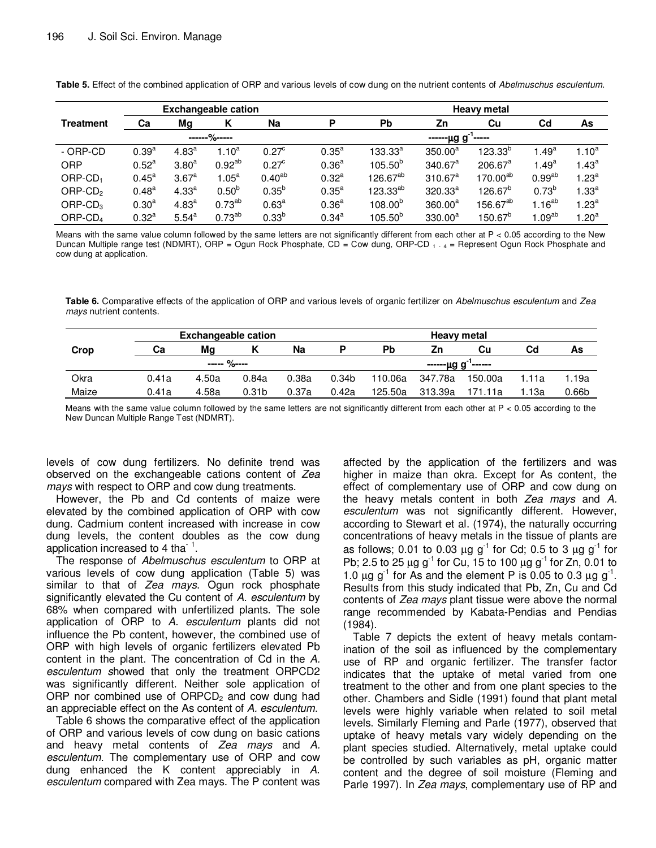| <b>Exchangeable cation</b> |                   |                   |              |                   |                   | <b>Heavy metal</b>   |                                                          |                      |                    |                   |  |  |
|----------------------------|-------------------|-------------------|--------------|-------------------|-------------------|----------------------|----------------------------------------------------------|----------------------|--------------------|-------------------|--|--|
| Treatment                  | Ca                | Mg                | K            | Na                | D                 | <b>Pb</b>            | Zn                                                       | Cu                   | $_{\rm Cd}$        | As                |  |  |
|                            |                   |                   | ------%----- |                   |                   |                      |                                                          |                      |                    |                   |  |  |
| - ORP-CD                   | $0.39^{a}$        | 4.83 <sup>a</sup> | $1.10^a$     | $0.27^{\circ}$    | 0.35 <sup>a</sup> | $133.33^{a}$         | <u>------μg</u> g <sup>-1</sup> -<br>350.00 <sup>a</sup> | $123.33^{b}$         | 1.49 <sup>a</sup>  | $1.10^{a}$        |  |  |
| <b>ORP</b>                 | $0.52^{\text{a}}$ | 3.80 <sup>a</sup> | $0.92^{ab}$  | $0.27^{\circ}$    | 0.36 <sup>a</sup> | $105.50^{b}$         | $340.67^a$                                               | 206.67 <sup>a</sup>  | $1.49^{a}$         | $1.43^a$          |  |  |
| $ORP$ -CD <sub>1</sub>     | $0.45^{\text{a}}$ | 3.67 <sup>a</sup> | $1.05^a$     | $0.40^{ab}$       | $0.32^{a}$        | 126.67 <sup>ab</sup> | $310.67^a$                                               | 170.00 <sup>ab</sup> | 0.99 <sup>ab</sup> | 1.23 <sup>a</sup> |  |  |
| $ORP$ -CD <sub>2</sub>     | $0.48^{a}$        | 4.33 <sup>a</sup> | $0.50^{b}$   | $0.35^{b}$        | 0.35 <sup>a</sup> | 123.33 <sup>ab</sup> | $320.33^a$                                               | $126.67^{b}$         | $0.73^{b}$         | $1.33^{a}$        |  |  |
| $ORP$ -CD <sub>3</sub>     | 0.30 <sup>a</sup> | 4.83 <sup>a</sup> | $0.73^{ab}$  | 0.63 <sup>a</sup> | 0.36 <sup>a</sup> | $108.00^{b}$         | 360.00 <sup>a</sup>                                      | 156.67 <sup>ab</sup> | $1.16^{ab}$        | 1.23 $^{\rm a}$   |  |  |
| ORP-CD <sub>4</sub>        | $0.32^{a}$        | 5.54 <sup>a</sup> | $0.73^{ab}$  | $0.33^{b}$        | $0.34^{a}$        | $105.50^{b}$         | $330.00^a$                                               | $150.67^{b}$         | l. $09^{\sf ab}$   | $1.20^a$          |  |  |

**Table 5.** Effect of the combined application of ORP and various levels of cow dung on the nutrient contents of Abelmuschus esculentum.

Means with the same value column followed by the same letters are not significantly different from each other at P < 0.05 according to the New Duncan Multiple range test (NDMRT), ORP = Ogun Rock Phosphate, CD = Cow dung, ORP-CD  $_1$   $_4$  = Represent Ogun Rock Phosphate and cow dung at application.

**Table 6.** Comparative effects of the application of ORP and various levels of organic fertilizer on Abelmuschus esculentum and Zea mays nutrient contents.

|       | <b>Exchangeable cation</b> |              |                   |       |                   | <b>Heavy metal</b> |                                          |         |       |                   |  |
|-------|----------------------------|--------------|-------------------|-------|-------------------|--------------------|------------------------------------------|---------|-------|-------------------|--|
| Crop  | Ca                         | Mq           |                   | Na    |                   | Pb                 | Zn                                       | Cu      | Cd    | As                |  |
|       |                            | $--- 9/0---$ |                   |       |                   |                    | - <u>-----</u> μg g <sup>-1</sup> ------ |         |       |                   |  |
| Okra  | 0.41a                      | 4.50a        | 0.84a             | 0.38a | 0.34 <sub>b</sub> | 110.06a            | 347.78a                                  | 150.00a | 1.11a | 1.19a             |  |
| Maize | 0.41a                      | 4.58a        | 0.31 <sub>b</sub> | 0.37a | 0.42a             | 125.50a            | 313.39a                                  | 171.11a | .13a  | 0.66 <sub>b</sub> |  |

Means with the same value column followed by the same letters are not significantly different from each other at  $P < 0.05$  according to the New Duncan Multiple Range Test (NDMRT).

levels of cow dung fertilizers. No definite trend was observed on the exchangeable cations content of Zea mays with respect to ORP and cow dung treatments.

However, the Pb and Cd contents of maize were elevated by the combined application of ORP with cow dung. Cadmium content increased with increase in cow dung levels, the content doubles as the cow dung application increased to 4 tha <sup>1</sup>.

The response of Abelmuschus esculentum to ORP at various levels of cow dung application (Table 5) was similar to that of Zea mays. Ogun rock phosphate significantly elevated the Cu content of A. esculentum by 68% when compared with unfertilized plants. The sole application of ORP to A. esculentum plants did not influence the Pb content, however, the combined use of ORP with high levels of organic fertilizers elevated Pb content in the plant. The concentration of Cd in the A. esculentum showed that only the treatment ORPCD2 was significantly different. Neither sole application of ORP nor combined use of  $ORPCD<sub>2</sub>$  and cow dung had an appreciable effect on the As content of A. esculentum.

Table 6 shows the comparative effect of the application of ORP and various levels of cow dung on basic cations and heavy metal contents of Zea mays and A. esculentum. The complementary use of ORP and cow dung enhanced the K content appreciably in A. esculentum compared with Zea mays. The P content was

affected by the application of the fertilizers and was higher in maize than okra. Except for As content, the effect of complementary use of ORP and cow dung on the heavy metals content in both Zea mays and A. esculentum was not significantly different. However, according to Stewart et al. (1974), the naturally occurring concentrations of heavy metals in the tissue of plants are as follows; 0.01 to 0.03  $\mu$ g g<sup>-1</sup> for Cd; 0.5 to 3  $\mu$ g g<sup>-1</sup> for Pb; 2.5 to 25  $\mu$ g g<sup>-1</sup> for Cu, 15 to 100  $\mu$ g g<sup>-1</sup> for Zn, 0.01 to 1.0  $\mu$ g g<sup>-1</sup> for As and the element P is 0.05 to 0.3  $\mu$ g g<sup>-1</sup>. Results from this study indicated that Pb, Zn, Cu and Cd contents of Zea mays plant tissue were above the normal range recommended by Kabata-Pendias and Pendias (1984).

Table 7 depicts the extent of heavy metals contamination of the soil as influenced by the complementary use of RP and organic fertilizer. The transfer factor indicates that the uptake of metal varied from one treatment to the other and from one plant species to the other. Chambers and Sidle (1991) found that plant metal levels were highly variable when related to soil metal levels. Similarly Fleming and Parle (1977), observed that uptake of heavy metals vary widely depending on the plant species studied. Alternatively, metal uptake could be controlled by such variables as pH, organic matter content and the degree of soil moisture (Fleming and Parle 1997). In Zea mays, complementary use of RP and